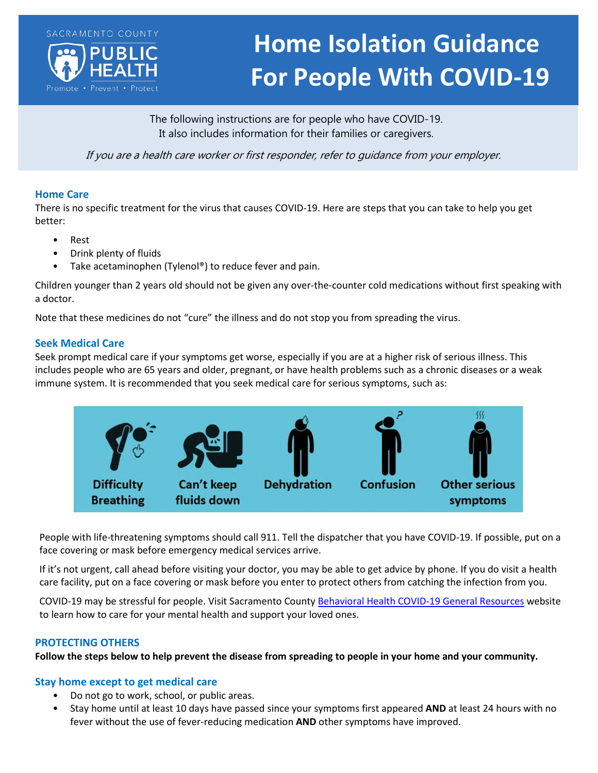

# **Home Isolation Guidance For People With COVID-19**

The following instructions are for people who have COVID-19. It also includes information for their families or caregivers.

If you are a health care worker or first responder, refer to guidance from your employer.

### **Home Care**

There is no specific treatment for the virus that causes COVID-19. Here are steps that you can take to help you get better:

- Rest
- Drink plenty of fluids
- Take acetaminophen (Tylenol®) to reduce fever and pain.

Children younger than 2 years old should not be given any over-the-counter cold medications without first speaking with a doctor.

Note that these medicines do not "cure" the illness and do not stop you from spreading the virus.

## **Seek Medical Care**

Seek prompt medical care if your symptoms get worse, especially if you are at a higher risk of serious illness. This includes people who are 65 years and older, pregnant, or have health problems such as a chronic diseases or a weak immune system. It is recommended that you seek medical care for serious symptoms, such as:



People with life-threatening symptoms should call 911. Tell the dispatcher that you have COVID-19. If possible, put on a face covering or mask before emergency medical services arrive.

If it's not urgent, call ahead before visiting your doctor, you may be able to get advice by phone. If you do visit a health care facility, put on a face covering or mask before you enter to protect others from catching the infection from you.

COVID-19 may be stressful for people. Visit Sacramento Count[y Behavioral Health COVID-19 General Resources](https://dhs.saccounty.net/BHS/Pages/COVID-19-Resources.aspx) website to learn how to care for your mental health and support your loved ones.

### **PROTECTING OTHERS**

**Follow the steps below to help prevent the disease from spreading to people in your home and your community.**

### **Stay home except to get medical care**

- Do not go to work, school, or public areas.
- Stay home until at least 10 days have passed since your symptoms first appeared **AND** at least 24 hours with no fever without the use of fever-reducing medication **AND** other symptoms have improved.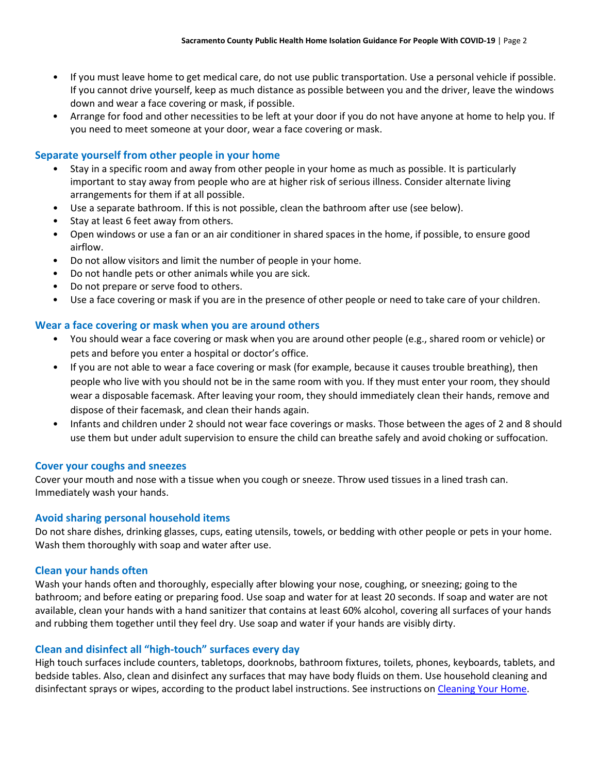- If you must leave home to get medical care, do not use public transportation. Use a personal vehicle if possible. If you cannot drive yourself, keep as much distance as possible between you and the driver, leave the windows down and wear a face covering or mask, if possible.
- Arrange for food and other necessities to be left at your door if you do not have anyone at home to help you. If you need to meet someone at your door, wear a face covering or mask.

# **Separate yourself from other people in your home**

- Stay in a specific room and away from other people in your home as much as possible. It is particularly important to stay away from people who are at higher risk of serious illness. Consider alternate living arrangements for them if at all possible.
- Use a separate bathroom. If this is not possible, clean the bathroom after use (see below).
- Stay at least 6 feet away from others.
- Open windows or use a fan or an air conditioner in shared spaces in the home, if possible, to ensure good airflow.
- Do not allow visitors and limit the number of people in your home.
- Do not handle pets or other animals while you are sick.
- Do not prepare or serve food to others.
- Use a face covering or mask if you are in the presence of other people or need to take care of your children.

## **Wear a face covering or mask when you are around others**

- You should wear a face covering or mask when you are around other people (e.g., shared room or vehicle) or pets and before you enter a hospital or doctor's office.
- If you are not able to wear a face covering or mask (for example, because it causes trouble breathing), then people who live with you should not be in the same room with you. If they must enter your room, they should wear a disposable facemask. After leaving your room, they should immediately clean their hands, remove and dispose of their facemask, and clean their hands again.
- Infants and children under 2 should not wear face coverings or masks. Those between the ages of 2 and 8 should use them but under adult supervision to ensure the child can breathe safely and avoid choking or suffocation.

### **Cover your coughs and sneezes**

Cover your mouth and nose with a tissue when you cough or sneeze. Throw used tissues in a lined trash can. Immediately wash your hands.

### **Avoid sharing personal household items**

Do not share dishes, drinking glasses, cups, eating utensils, towels, or bedding with other people or pets in your home. Wash them thoroughly with soap and water after use.

### **Clean your hands often**

Wash your hands often and thoroughly, especially after blowing your nose, coughing, or sneezing; going to the bathroom; and before eating or preparing food. Use soap and water for at least 20 seconds. If soap and water are not available, clean your hands with a hand sanitizer that contains at least 60% alcohol, covering all surfaces of your hands and rubbing them together until they feel dry. Use soap and water if your hands are visibly dirty.

### **Clean and disinfect all "high-touch" surfaces every day**

High touch surfaces include counters, tabletops, doorknobs, bathroom fixtures, toilets, phones, keyboards, tablets, and bedside tables. Also, clean and disinfect any surfaces that may have body fluids on them. Use household cleaning and disinfectant sprays or wipes, according to the product label instructions. See instructions on [Cleaning Your Home.](https://www.cdc.gov/coronavirus/2019-ncov/prevent-getting-sick/disinfecting-your-home.html)